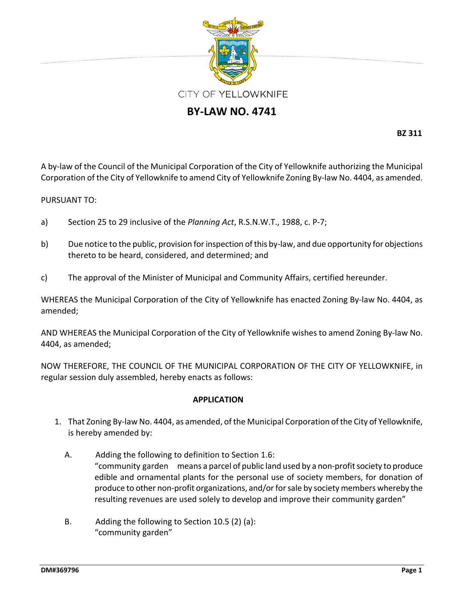

## **BY‐LAW NO. 4741**

**BZ 311**

A by‐law of the Council of the Municipal Corporation of the City of Yellowknife authorizing the Municipal Corporation of the City of Yellowknife to amend City of Yellowknife Zoning By‐law No. 4404, as amended.

## PURSUANT TO:

- a) Section 25 to 29 inclusive of the *Planning Act*, R.S.N.W.T., 1988, c. P‐7;
- b) Due notice to the public, provision for inspection of this by-law, and due opportunity for objections thereto to be heard, considered, and determined; and
- c) The approval of the Minister of Municipal and Community Affairs, certified hereunder.

WHEREAS the Municipal Corporation of the City of Yellowknife has enacted Zoning By-law No. 4404, as amended;

AND WHEREAS the Municipal Corporation of the City of Yellowknife wishes to amend Zoning By‐law No. 4404, as amended;

NOW THEREFORE, THE COUNCIL OF THE MUNICIPAL CORPORATION OF THE CITY OF YELLOWKNIFE, in regular session duly assembled, hereby enacts as follows:

## **APPLICATION**

- 1. That Zoning By‐law No. 4404, as amended, of the Municipal Corporation ofthe City of Yellowknife, is hereby amended by:
	- A. Adding the following to definition to Section 1.6: "community garden means a parcel of public land used by a non-profit society to produce edible and ornamental plants for the personal use of society members, for donation of produce to other non‐profit organizations, and/orforsale by society members whereby the resulting revenues are used solely to develop and improve their community garden"
	- B. Adding the following to Section 10.5 (2) (a): "community garden"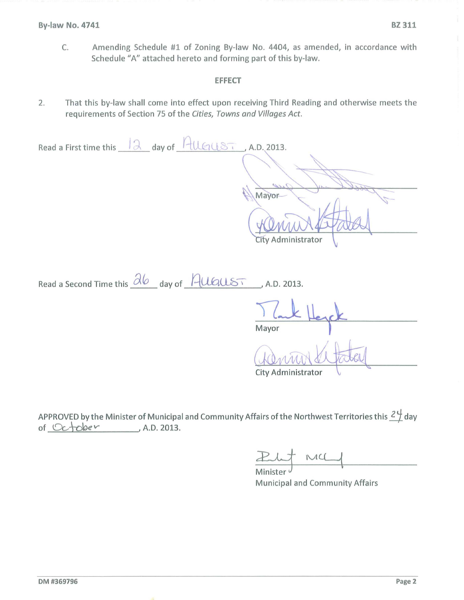C. Amending Schedule #1 of Zoning By-law No. *4404,* as amended, in accordance with Schedule "A" attached hereto and forming part of this by-law.

## **EFFECT**

2. That this by-law shall come into effect upon receiving Third Reading and otherwise meets the requirements of Section 75 of the Cities, Towns and Villages Act.

| Read a First time this $\sqrt{2}$ day of $\sqrt{4}$ UGUST, A.D. 2013.                                       |
|-------------------------------------------------------------------------------------------------------------|
|                                                                                                             |
| 7,10                                                                                                        |
| Mayor                                                                                                       |
|                                                                                                             |
| City Administrator                                                                                          |
|                                                                                                             |
| Read a Second Time this $\frac{\partial b}{\partial y}$ day of $\frac{\partial u}{\partial x}$ , A.D. 2013. |
|                                                                                                             |
| Mayor                                                                                                       |
|                                                                                                             |
| City Administrator                                                                                          |

APPROVED by the Minister of Municipal and Community Affairs of the Northwest Territories this  $\frac{21}{1}$  day of *\.C::t.--\-cyev* 1 A.D. 2013.

But MCL

Municipal and Community Affairs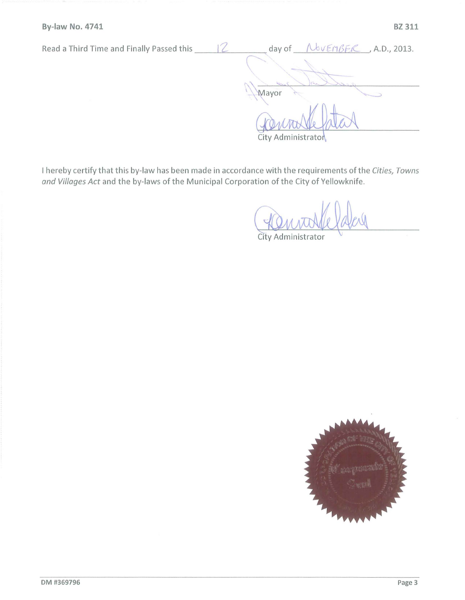| Read a Third Time and Finally Passed this | NOVEMBER, A.D., 2013.<br>day of |
|-------------------------------------------|---------------------------------|
|                                           |                                 |
|                                           |                                 |
|                                           | Mayor                           |
|                                           |                                 |
|                                           |                                 |
|                                           | City Administrator              |

I hereby certify that this by-law has been made in accordance with the requirements ofthe *Cities, Towns and Villages Act* and the by-laws of the Municipal Corporation of the City of Yellowknife.

City Administrator